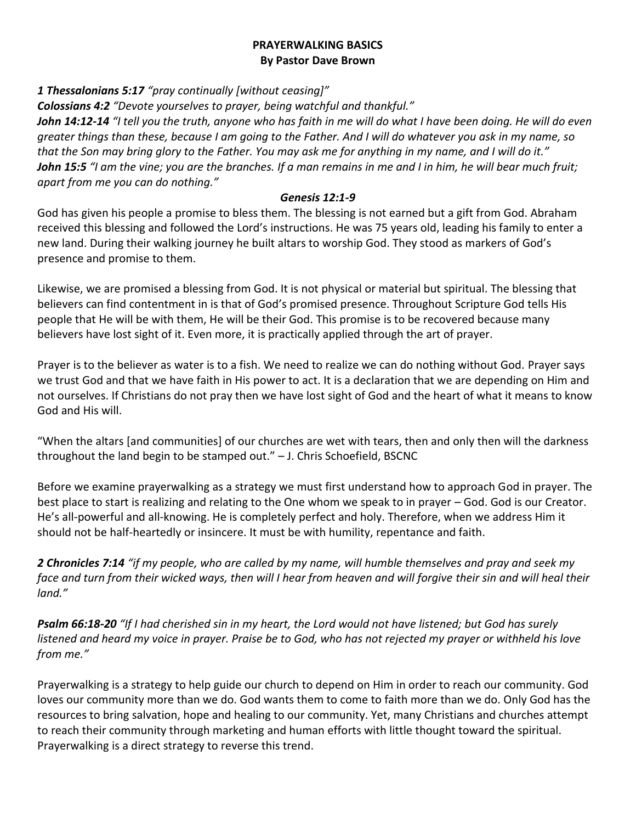#### **PRAYERWALKING BASICS By Pastor Dave Brown**

*1 Thessalonians 5:17 "pray continually [without ceasing]"*

*Colossians 4:2 "Devote yourselves to prayer, being watchful and thankful."*

*John 14:12-14 "I tell you the truth, anyone who has faith in me will do what I have been doing. He will do even greater things than these, because I am going to the Father. And I will do whatever you ask in my name, so that the Son may bring glory to the Father. You may ask me for anything in my name, and I will do it." John 15:5 "I am the vine; you are the branches. If a man remains in me and I in him, he will bear much fruit; apart from me you can do nothing."*

#### *Genesis 12:1-9*

God has given his people a promise to bless them. The blessing is not earned but a gift from God. Abraham received this blessing and followed the Lord's instructions. He was 75 years old, leading his family to enter a new land. During their walking journey he built altars to worship God. They stood as markers of God's presence and promise to them.

Likewise, we are promised a blessing from God. It is not physical or material but spiritual. The blessing that believers can find contentment in is that of God's promised presence. Throughout Scripture God tells His people that He will be with them, He will be their God. This promise is to be recovered because many believers have lost sight of it. Even more, it is practically applied through the art of prayer.

Prayer is to the believer as water is to a fish. We need to realize we can do nothing without God. Prayer says we trust God and that we have faith in His power to act. It is a declaration that we are depending on Him and not ourselves. If Christians do not pray then we have lost sight of God and the heart of what it means to know God and His will.

"When the altars [and communities] of our churches are wet with tears, then and only then will the darkness throughout the land begin to be stamped out." – J. Chris Schoefield, BSCNC

Before we examine prayerwalking as a strategy we must first understand how to approach God in prayer. The best place to start is realizing and relating to the One whom we speak to in prayer – God. God is our Creator. He's all-powerful and all-knowing. He is completely perfect and holy. Therefore, when we address Him it should not be half-heartedly or insincere. It must be with humility, repentance and faith.

*2 Chronicles 7:14 "if my people, who are called by my name, will humble themselves and pray and seek my face and turn from their wicked ways, then will I hear from heaven and will forgive their sin and will heal their land."*

*Psalm 66:18-20 "If I had cherished sin in my heart, the Lord would not have listened; but God has surely listened and heard my voice in prayer. Praise be to God, who has not rejected my prayer or withheld his love from me."*

Prayerwalking is a strategy to help guide our church to depend on Him in order to reach our community. God loves our community more than we do. God wants them to come to faith more than we do. Only God has the resources to bring salvation, hope and healing to our community. Yet, many Christians and churches attempt to reach their community through marketing and human efforts with little thought toward the spiritual. Prayerwalking is a direct strategy to reverse this trend.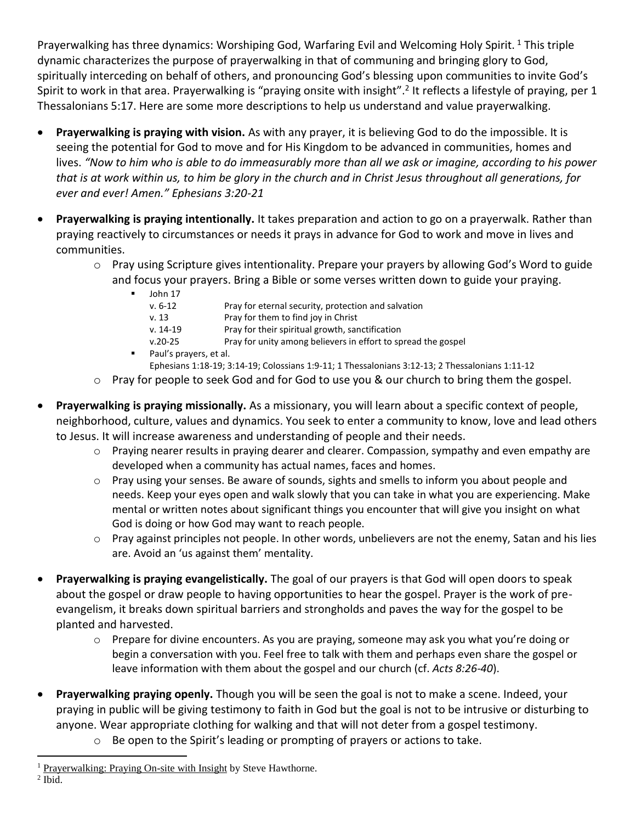Prayerwalking has three dynamics: Worshiping God, Warfaring Evil and Welcoming Holy Spirit.<sup>1</sup> This triple dynamic characterizes the purpose of prayerwalking in that of communing and bringing glory to God, spiritually interceding on behalf of others, and pronouncing God's blessing upon communities to invite God's Spirit to work in that area. Prayerwalking is "praying onsite with insight".<sup>2</sup> It reflects a lifestyle of praying, per 1 Thessalonians 5:17. Here are some more descriptions to help us understand and value prayerwalking.

- **Prayerwalking is praying with vision.** As with any prayer, it is believing God to do the impossible. It is seeing the potential for God to move and for His Kingdom to be advanced in communities, homes and lives. *"Now to him who is able to do immeasurably more than all we ask or imagine, according to his power that is at work within us, to him be glory in the church and in Christ Jesus throughout all generations, for ever and ever! Amen." Ephesians 3:20-21*
- **Prayerwalking is praying intentionally.** It takes preparation and action to go on a prayerwalk. Rather than praying reactively to circumstances or needs it prays in advance for God to work and move in lives and communities.
	- $\circ$  Pray using Scripture gives intentionality. Prepare your prayers by allowing God's Word to guide and focus your prayers. Bring a Bible or some verses written down to guide your praying.
		- John 17
			- v. 6-12 Pray for eternal security, protection and salvation
			- v. 13 Pray for them to find joy in Christ
			- v. 14-19 Pray for their spiritual growth, sanctification
			- v.20-25 Pray for unity among believers in effort to spread the gospel
		- Paul's prayers, et al.
			- Ephesians 1:18-19; 3:14-19; Colossians 1:9-11; 1 Thessalonians 3:12-13; 2 Thessalonians 1:11-12
	- o Pray for people to seek God and for God to use you & our church to bring them the gospel.
- **Prayerwalking is praying missionally.** As a missionary, you will learn about a specific context of people, neighborhood, culture, values and dynamics. You seek to enter a community to know, love and lead others to Jesus. It will increase awareness and understanding of people and their needs.
	- o Praying nearer results in praying dearer and clearer. Compassion, sympathy and even empathy are developed when a community has actual names, faces and homes.
	- o Pray using your senses. Be aware of sounds, sights and smells to inform you about people and needs. Keep your eyes open and walk slowly that you can take in what you are experiencing. Make mental or written notes about significant things you encounter that will give you insight on what God is doing or how God may want to reach people.
	- $\circ$  Pray against principles not people. In other words, unbelievers are not the enemy, Satan and his lies are. Avoid an 'us against them' mentality.
- **Prayerwalking is praying evangelistically.** The goal of our prayers is that God will open doors to speak about the gospel or draw people to having opportunities to hear the gospel. Prayer is the work of preevangelism, it breaks down spiritual barriers and strongholds and paves the way for the gospel to be planted and harvested.
	- $\circ$  Prepare for divine encounters. As you are praying, someone may ask you what you're doing or begin a conversation with you. Feel free to talk with them and perhaps even share the gospel or leave information with them about the gospel and our church (cf. *Acts 8:26-40*).
- **Prayerwalking praying openly.** Though you will be seen the goal is not to make a scene. Indeed, your praying in public will be giving testimony to faith in God but the goal is not to be intrusive or disturbing to anyone. Wear appropriate clothing for walking and that will not deter from a gospel testimony.
	- o Be open to the Spirit's leading or prompting of prayers or actions to take.

 $<sup>2</sup>$  Ibid.</sup>

 $\overline{a}$ 

<sup>&</sup>lt;sup>1</sup> Prayerwalking: Praying On-site with Insight by Steve Hawthorne.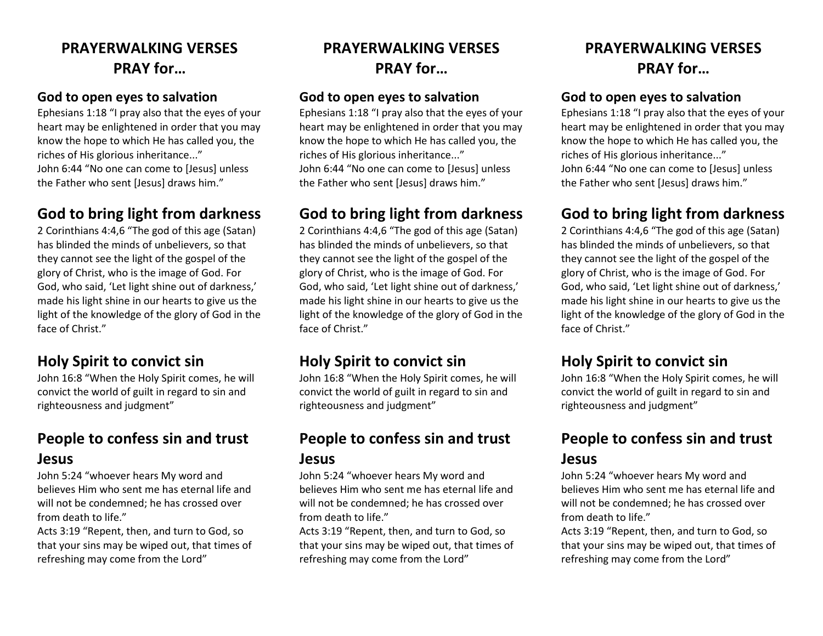# **PRAYERWALKING VERSES PRAY for…**

#### **God to open eyes to salvation**

Ephesians 1:18 "I pray also that the eyes of your heart may be enlightened in order that you may know the hope to which He has called you, the riches of His glorious inheritance..." John 6:44 "No one can come to [Jesus] unless the Father who sent [Jesus] draws him."

#### **God to bring light from darkness**

2 Corinthians 4:4,6 "The god of this age (Satan) has blinded the minds of unbelievers, so that they cannot see the light of the gospel of the glory of Christ, who is the image of God. For God, who said, 'Let light shine out of darkness,' made his light shine in our hearts to give us the light of the knowledge of the glory of God in the face of Christ."

### **Holy Spirit to convict sin**

John 16:8 "When the Holy Spirit comes, he will convict the world of guilt in regard to sin and righteousness and judgment"

### **People to confess sin and trust Jesus**

John 5:24 "whoever hears My word and believes Him who sent me has eternal life and will not be condemned; he has crossed over from death to life."

Acts 3:19 "Repent, then, and turn to God, so that your sins may be wiped out, that times of refreshing may come from the Lord"

# **PRAYERWALKING VERSES PRAY for…**

#### **God to open eyes to salvation**

Ephesians 1:18 "I pray also that the eyes of your heart may be enlightened in order that you may know the hope to which He has called you, the riches of His glorious inheritance..." John 6:44 "No one can come to [Jesus] unless the Father who sent [Jesus] draws him."

#### **God to bring light from darkness**

2 Corinthians 4:4,6 "The god of this age (Satan) has blinded the minds of unbelievers, so that they cannot see the light of the gospel of the glory of Christ, who is the image of God. For God, who said, 'Let light shine out of darkness,' made his light shine in our hearts to give us the light of the knowledge of the glory of God in the face of Christ."

### **Holy Spirit to convict sin**

John 16:8 "When the Holy Spirit comes, he will convict the world of guilt in regard to sin and righteousness and judgment"

# **People to confess sin and trust**

#### **Jesus**

John 5:24 "whoever hears My word and believes Him who sent me has eternal life and will not be condemned; he has crossed over from death to life."

Acts 3:19 "Repent, then, and turn to God, so that your sins may be wiped out, that times of refreshing may come from the Lord"

# **PRAYERWALKING VERSES PRAY for…**

#### **God to open eyes to salvation**

Ephesians 1:18 "I pray also that the eyes of your heart may be enlightened in order that you may know the hope to which He has called you, the riches of His glorious inheritance..." John 6:44 "No one can come to [Jesus] unless the Father who sent [Jesus] draws him."

### **God to bring light from darkness**

2 Corinthians 4:4,6 "The god of this age (Satan) has blinded the minds of unbelievers, so that they cannot see the light of the gospel of the glory of Christ, who is the image of God. For God, who said, 'Let light shine out of darkness,' made his light shine in our hearts to give us the light of the knowledge of the glory of God in the face of Christ."

#### **Holy Spirit to convict sin**

John 16:8 "When the Holy Spirit comes, he will convict the world of guilt in regard to sin and righteousness and judgment"

### **People to confess sin and trust Jesus**

John 5:24 "whoever hears My word and believes Him who sent me has eternal life and will not be condemned; he has crossed over from death to life."

Acts 3:19 "Repent, then, and turn to God, so that your sins may be wiped out, that times of refreshing may come from the Lord"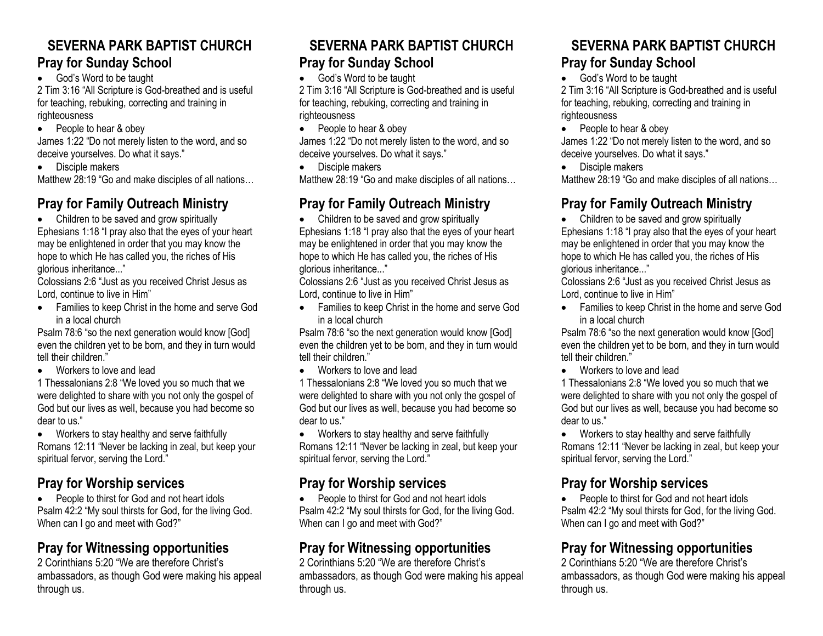#### **SEVERNA PARK BAPTIST CHURCH Pray for Sunday School**

• God's Word to be taught

2 Tim 3:16 "All Scripture is God-breathed and is useful for teaching, rebuking, correcting and training in righteousness

• People to hear & obey

James 1:22 "Do not merely listen to the word, and so deceive yourselves. Do what it says."

• Disciple makers

Matthew 28:19 "Go and make disciples of all nations…

# **Pray for Family Outreach Ministry**

• Children to be saved and grow spiritually Ephesians 1:18 "I pray also that the eyes of your heart may be enlightened in order that you may know the hope to which He has called you, the riches of His glorious inheritance..."

Colossians 2:6 "Just as you received Christ Jesus as Lord, continue to live in Him"

• Families to keep Christ in the home and serve God in a local church

Psalm 78:6 "so the next generation would know [God] even the children yet to be born, and they in turn would tell their children."

• Workers to love and lead

1 Thessalonians 2:8 "We loved you so much that we were delighted to share with you not only the gospel of God but our lives as well, because you had become so dear to us."

• Workers to stay healthy and serve faithfully Romans 12:11 "Never be lacking in zeal, but keep your spiritual fervor, serving the Lord."

### **Pray for Worship services**

• People to thirst for God and not heart idols Psalm 42:2 "My soul thirsts for God, for the living God. When can I go and meet with God?"

### **Pray for Witnessing opportunities**

2 Corinthians 5:20 "We are therefore Christ's ambassadors, as though God were making his appeal through us.

#### **SEVERNA PARK BAPTIST CHURCH Pray for Sunday School**

• God's Word to be taught

2 Tim 3:16 "All Scripture is God-breathed and is useful for teaching, rebuking, correcting and training in righteousness

• People to hear & obey

James 1:22 "Do not merely listen to the word, and so deceive yourselves. Do what it says."

• Disciple makers

Matthew 28:19 "Go and make disciples of all nations…

### **Pray for Family Outreach Ministry**

• Children to be saved and grow spiritually Ephesians 1:18 "I pray also that the eyes of your heart may be enlightened in order that you may know the hope to which He has called you, the riches of His glorious inheritance..."

Colossians 2:6 "Just as you received Christ Jesus as Lord, continue to live in Him"

• Families to keep Christ in the home and serve God in a local church

Psalm 78:6 "so the next generation would know [God] even the children yet to be born, and they in turn would tell their children."

• Workers to love and lead

1 Thessalonians 2:8 "We loved you so much that we were delighted to share with you not only the gospel of God but our lives as well, because you had become so dear to us."

• Workers to stay healthy and serve faithfully Romans 12:11 "Never be lacking in zeal, but keep your spiritual fervor, serving the Lord."

### **Pray for Worship services**

• People to thirst for God and not heart idols Psalm 42:2 "My soul thirsts for God, for the living God. When can I go and meet with God?"

### **Pray for Witnessing opportunities**

2 Corinthians 5:20 "We are therefore Christ's ambassadors, as though God were making his appeal through us.

#### **SEVERNA PARK BAPTIST CHURCH Pray for Sunday School**

• God's Word to be taught

2 Tim 3:16 "All Scripture is God-breathed and is useful for teaching, rebuking, correcting and training in righteousness

• People to hear & obey

James 1:22 "Do not merely listen to the word, and so deceive yourselves. Do what it says."

• Disciple makers

Matthew 28:19 "Go and make disciples of all nations…

### **Pray for Family Outreach Ministry**

• Children to be saved and grow spiritually Ephesians 1:18 "I pray also that the eyes of your heart may be enlightened in order that you may know the hope to which He has called you, the riches of His glorious inheritance..."

Colossians 2:6 "Just as you received Christ Jesus as Lord, continue to live in Him"

• Families to keep Christ in the home and serve God in a local church

Psalm 78:6 "so the next generation would know [God] even the children yet to be born, and they in turn would tell their children."

• Workers to love and lead

1 Thessalonians 2:8 "We loved you so much that we were delighted to share with you not only the gospel of God but our lives as well, because you had become so dear to us."

• Workers to stay healthy and serve faithfully Romans 12:11 "Never be lacking in zeal, but keep your spiritual fervor, serving the Lord."

#### **Pray for Worship services**

• People to thirst for God and not heart idols Psalm 42:2 "My soul thirsts for God, for the living God. When can I go and meet with God?"

### **Pray for Witnessing opportunities**

2 Corinthians 5:20 "We are therefore Christ's ambassadors, as though God were making his appeal through us.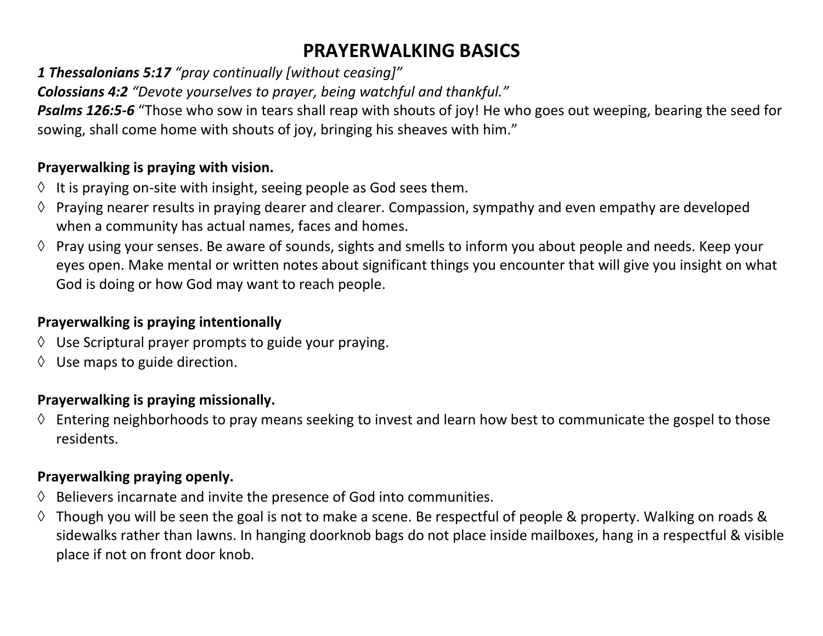# **PRAYERWALKING BASICS**

*1 Thessalonians 5:17 "pray continually [without ceasing]"*

*Colossians 4:2 "Devote yourselves to prayer, being watchful and thankful."*

*Psalms 126:5-6* "Those who sow in tears shall reap with shouts of joy! He who goes out weeping, bearing the seed for sowing, shall come home with shouts of joy, bringing his sheaves with him."

#### **Prayerwalking is praying with vision.**

- $\Diamond$  It is praying on-site with insight, seeing people as God sees them.
- $\Diamond$  Praying nearer results in praying dearer and clearer. Compassion, sympathy and even empathy are developed when a community has actual names, faces and homes.
- $\Diamond$  Pray using your senses. Be aware of sounds, sights and smells to inform you about people and needs. Keep your eyes open. Make mental or written notes about significant things you encounter that will give you insight on what God is doing or how God may want to reach people.

### **Prayerwalking is praying intentionally**

- $\Diamond$  Use Scriptural prayer prompts to guide your praying.
- $\Diamond$  Use maps to guide direction.

### **Prayerwalking is praying missionally.**

 $\Diamond$  Entering neighborhoods to pray means seeking to invest and learn how best to communicate the gospel to those residents.

#### **Prayerwalking praying openly.**

- $\Diamond$  Believers incarnate and invite the presence of God into communities.
- $\Diamond$  Though you will be seen the goal is not to make a scene. Be respectful of people & property. Walking on roads & sidewalks rather than lawns. In hanging doorknob bags do not place inside mailboxes, hang in a respectful & visible place if not on front door knob.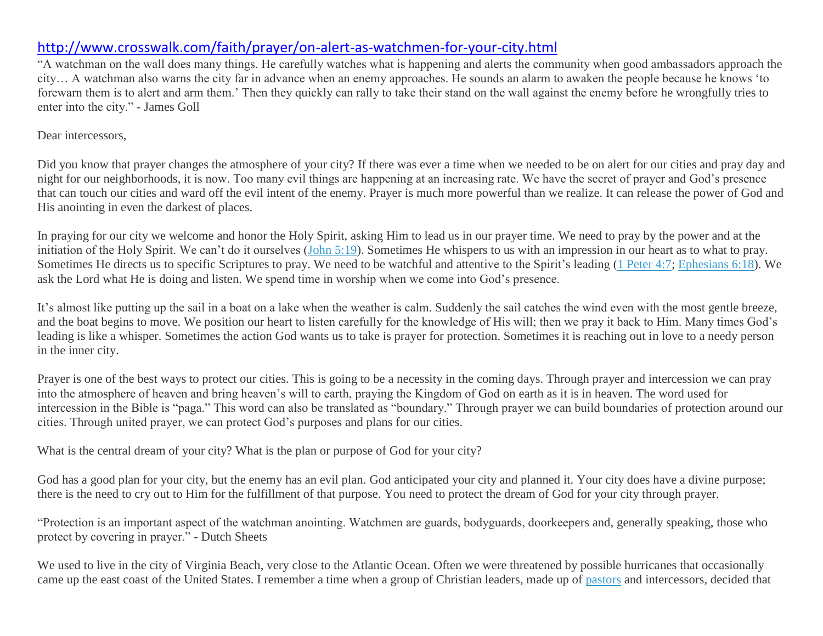#### <http://www.crosswalk.com/faith/prayer/on-alert-as-watchmen-for-your-city.html>

"A watchman on the wall does many things. He carefully watches what is happening and alerts the community when good ambassadors approach the city… A watchman also warns the city far in advance when an enemy approaches. He sounds an alarm to awaken the people because he knows 'to forewarn them is to alert and arm them.' Then they quickly can rally to take their stand on the wall against the enemy before he wrongfully tries to enter into the city." - James Goll

#### Dear intercessors,

Did you know that prayer changes the atmosphere of your city? If there was ever a time when we needed to be on alert for our cities and pray day and night for our neighborhoods, it is now. Too many evil things are happening at an increasing rate. We have the secret of prayer and God's presence that can touch our cities and ward off the evil intent of the enemy. Prayer is much more powerful than we realize. It can release the power of God and His anointing in even the darkest of places.

In praying for our city we welcome and honor the Holy Spirit, asking Him to lead us in our prayer time. We need to pray by the power and at the initiation of the Holy Spirit. We can't do it ourselves [\(John 5:19\)](http://www.biblestudytools.com/search/?t=nas&q=joh+5:19-19). Sometimes He whispers to us with an impression in our heart as to what to pray. Sometimes He directs us to specific Scriptures to pray. We need to be watchful and attentive to the Spirit's leading [\(1 Peter 4:7;](http://www.biblestudytools.com/search/?t=nas&q=1pe+4:7-7) [Ephesians 6:18\)](http://www.biblestudytools.com/search/?t=nas&q=eph+6:18-18). We ask the Lord what He is doing and listen. We spend time in worship when we come into God's presence.

It's almost like putting up the sail in a boat on a lake when the weather is calm. Suddenly the sail catches the wind even with the most gentle breeze, and the boat begins to move. We position our heart to listen carefully for the knowledge of His will; then we pray it back to Him. Many times God's leading is like a whisper. Sometimes the action God wants us to take is prayer for protection. Sometimes it is reaching out in love to a needy person in the inner city.

Prayer is one of the best ways to protect our cities. This is going to be a necessity in the coming days. Through prayer and intercession we can pray into the atmosphere of heaven and bring heaven's will to earth, praying the Kingdom of God on earth as it is in heaven. The word used for intercession in the Bible is "paga." This word can also be translated as "boundary." Through prayer we can build boundaries of protection around our cities. Through united prayer, we can protect God's purposes and plans for our cities.

What is the central dream of your city? What is the plan or purpose of God for your city?

God has a good plan for your city, but the enemy has an evil plan. God anticipated your city and planned it. Your city does have a divine purpose; there is the need to cry out to Him for the fulfillment of that purpose. You need to protect the dream of God for your city through prayer.

"Protection is an important aspect of the watchman anointing. Watchmen are guards, bodyguards, doorkeepers and, generally speaking, those who protect by covering in prayer." - Dutch Sheets

We used to live in the city of Virginia Beach, very close to the Atlantic Ocean. Often we were threatened by possible hurricanes that occasionally came up the east coast of the United States. I remember a time when a group of Christian leaders, made up of [pastors](http://www.crosswalk.com/church/pastors-or-leadership/) and intercessors, decided that